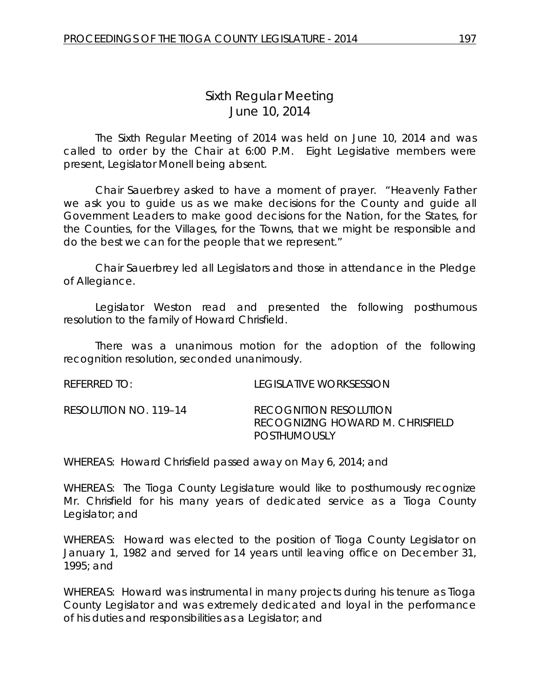# *Sixth Regular Meeting* June 10, 2014

The Sixth Regular Meeting of 2014 was held on June 10, 2014 and was called to order by the Chair at 6:00 P.M. Eight Legislative members were present, Legislator Monell being absent.

Chair Sauerbrey asked to have a moment of prayer. "Heavenly Father we ask you to guide us as we make decisions for the County and guide all Government Leaders to make good decisions for the Nation, for the States, for the Counties, for the Villages, for the Towns, that we might be responsible and do the best we can for the people that we represent."

Chair Sauerbrey led all Legislators and those in attendance in the Pledge of Allegiance.

Legislator Weston read and presented the following posthumous resolution to the family of Howard Chrisfield.

There was a unanimous motion for the adoption of the following recognition resolution, seconded unanimously.

| REFERRED TO:          | TEGISLATIVE WORKSESSION                                                           |
|-----------------------|-----------------------------------------------------------------------------------|
| RESOLUTION NO. 119-14 | <b>RECOGNITION RESOLUTION</b><br>RECOGNIZING HOWARD M. CHRISFIELD<br>POSTHUMOUSLY |

WHEREAS: Howard Chrisfield passed away on May 6, 2014; and

WHEREAS: The Tioga County Legislature would like to posthumously recognize Mr. Chrisfield for his many years of dedicated service as a Tioga County Legislator; and

WHEREAS: Howard was elected to the position of Tioga County Legislator on January 1, 1982 and served for 14 years until leaving office on December 31, 1995; and

WHEREAS: Howard was instrumental in many projects during his tenure as Tioga County Legislator and was extremely dedicated and loyal in the performance of his duties and responsibilities as a Legislator; and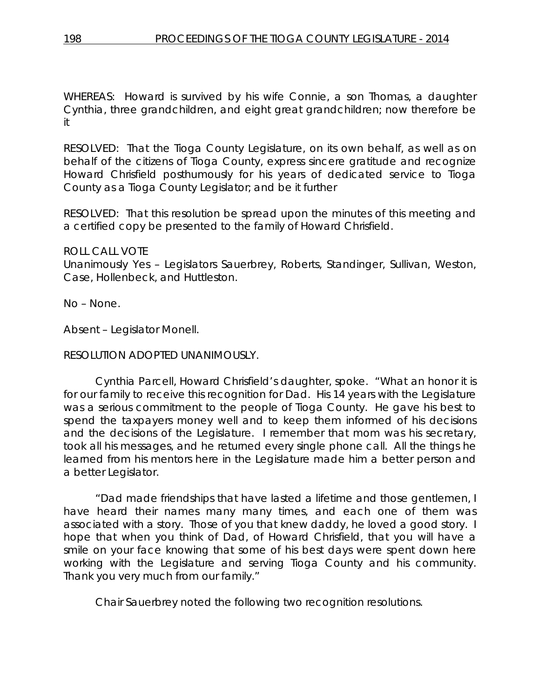WHEREAS: Howard is survived by his wife Connie, a son Thomas, a daughter Cynthia, three grandchildren, and eight great grandchildren; now therefore be it

RESOLVED: That the Tioga County Legislature, on its own behalf, as well as on behalf of the citizens of Tioga County, express sincere gratitude and recognize Howard Chrisfield posthumously for his years of dedicated service to Tioga County as a Tioga County Legislator; and be it further

RESOLVED: That this resolution be spread upon the minutes of this meeting and a certified copy be presented to the family of Howard Chrisfield.

ROLL CALL VOTE Unanimously Yes – Legislators Sauerbrey, Roberts, Standinger, Sullivan, Weston, Case, Hollenbeck, and Huttleston.

No – None.

Absent – Legislator Monell.

# RESOLUTION ADOPTED UNANIMOUSLY.

Cynthia Parcell, Howard Chrisfield's daughter, spoke. "What an honor it is for our family to receive this recognition for Dad. His 14 years with the Legislature was a serious commitment to the people of Tioga County. He gave his best to spend the taxpayers money well and to keep them informed of his decisions and the decisions of the Legislature. I remember that mom was his secretary, took all his messages, and he returned every single phone call. All the things he learned from his mentors here in the Legislature made him a better person and a better Legislator.

"Dad made friendships that have lasted a lifetime and those gentlemen, I have heard their names many many times, and each one of them was associated with a story. Those of you that knew daddy, he loved a good story. I hope that when you think of Dad, of Howard Chrisfield, that you will have a smile on your face knowing that some of his best days were spent down here working with the Legislature and serving Tioga County and his community. Thank you very much from our family."

Chair Sauerbrey noted the following two recognition resolutions.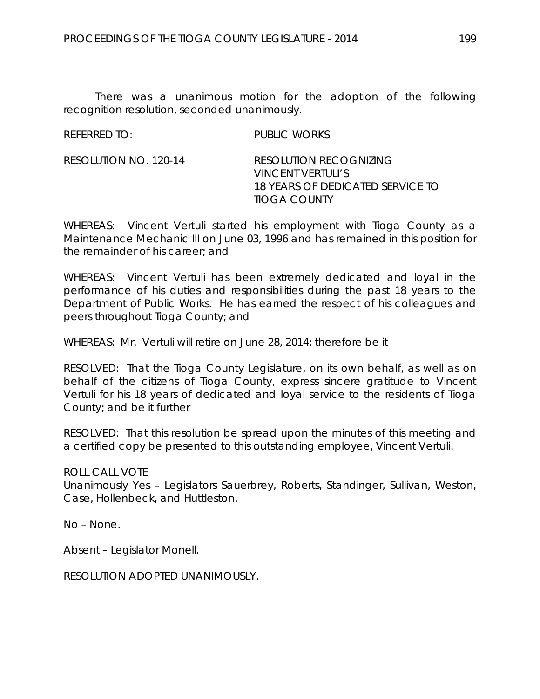There was a unanimous motion for the adoption of the following recognition resolution, seconded unanimously.

REFERRED TO: PUBLIC WORKS

RESOLUTION NO. 120-14 *RESOLUTION RECOGNIZING VINCENT VERTULI'S 18 YEARS OF DEDICATED SERVICE TO TIOGA COUNTY*

WHEREAS: Vincent Vertuli started his employment with Tioga County as a Maintenance Mechanic III on June 03, 1996 and has remained in this position for the remainder of his career; and

WHEREAS: Vincent Vertuli has been extremely dedicated and loyal in the performance of his duties and responsibilities during the past 18 years to the Department of Public Works. He has earned the respect of his colleagues and peers throughout Tioga County; and

WHEREAS: Mr. Vertuli will retire on June 28, 2014; therefore be it

RESOLVED: That the Tioga County Legislature, on its own behalf, as well as on behalf of the citizens of Tioga County, express sincere gratitude to Vincent Vertuli for his 18 years of dedicated and loyal service to the residents of Tioga County; and be it further

RESOLVED: That this resolution be spread upon the minutes of this meeting and a certified copy be presented to this outstanding employee, Vincent Vertuli.

ROLL CALL VOTE

Unanimously Yes – Legislators Sauerbrey, Roberts, Standinger, Sullivan, Weston, Case, Hollenbeck, and Huttleston.

No – None.

Absent – Legislator Monell.

RESOLUTION ADOPTED UNANIMOUSLY.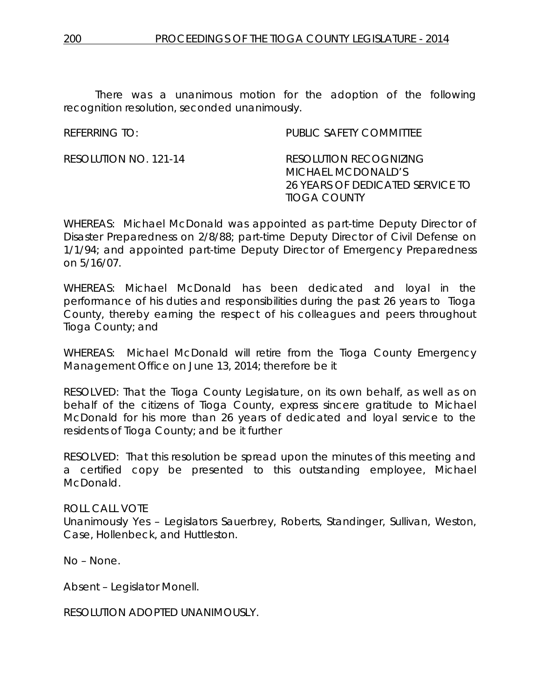There was a unanimous motion for the adoption of the following recognition resolution, seconded unanimously.

REFERRING TO: PUBLIC SAFETY COMMITTEE

RESOLUTION NO. 121-14 *RESOLUTION RECOGNIZING MICHAEL MCDONALD'S 26 YEARS OF DEDICATED SERVICE TO TIOGA COUNTY*

WHEREAS: Michael McDonald was appointed as part-time Deputy Director of Disaster Preparedness on 2/8/88; part-time Deputy Director of Civil Defense on 1/1/94; and appointed part-time Deputy Director of Emergency Preparedness on 5/16/07.

WHEREAS: Michael McDonald has been dedicated and loyal in the performance of his duties and responsibilities during the past 26 years to Tioga County, thereby earning the respect of his colleagues and peers throughout Tioga County; and

WHEREAS: Michael McDonald will retire from the Tioga County Emergency Management Office on June 13, 2014; therefore be it

RESOLVED: That the Tioga County Legislature, on its own behalf, as well as on behalf of the citizens of Tioga County, express sincere gratitude to Michael McDonald for his more than 26 years of dedicated and loyal service to the residents of Tioga County; and be it further

RESOLVED: That this resolution be spread upon the minutes of this meeting and a certified copy be presented to this outstanding employee, Michael **McDonald** 

ROLL CALL VOTE

Unanimously Yes – Legislators Sauerbrey, Roberts, Standinger, Sullivan, Weston, Case, Hollenbeck, and Huttleston.

No – None.

Absent – Legislator Monell.

RESOLUTION ADOPTED UNANIMOUSLY.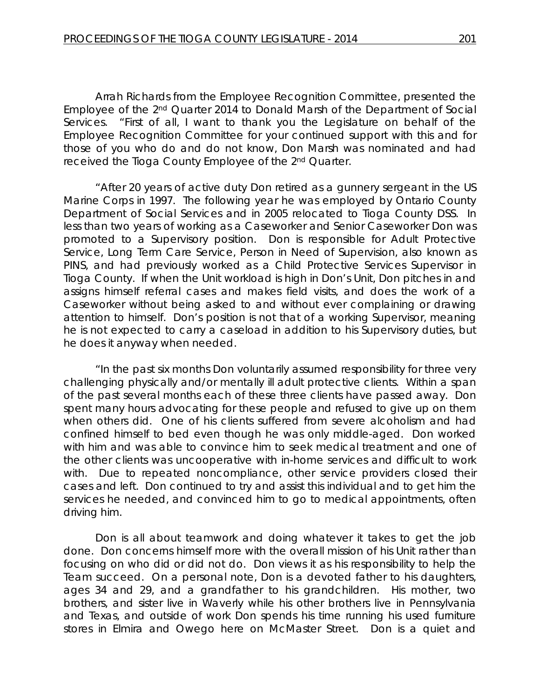Arrah Richards from the Employee Recognition Committee, presented the Employee of the 2nd Quarter 2014 to Donald Marsh of the Department of Social Services. "First of all, I want to thank you the Legislature on behalf of the Employee Recognition Committee for your continued support with this and for those of you who do and do not know, Don Marsh was nominated and had received the Tioga County Employee of the 2nd Quarter.

"After 20 years of active duty Don retired as a gunnery sergeant in the US Marine Corps in 1997. The following year he was employed by Ontario County Department of Social Services and in 2005 relocated to Tioga County DSS. In less than two years of working as a Caseworker and Senior Caseworker Don was promoted to a Supervisory position. Don is responsible for Adult Protective Service, Long Term Care Service, Person in Need of Supervision, also known as PINS, and had previously worked as a Child Protective Services Supervisor in Tioga County. If when the Unit workload is high in Don's Unit, Don pitches in and assigns himself referral cases and makes field visits, and does the work of a Caseworker without being asked to and without ever complaining or drawing attention to himself. Don's position is not that of a working Supervisor, meaning he is not expected to carry a caseload in addition to his Supervisory duties, but he does it anyway when needed.

"In the past six months Don voluntarily assumed responsibility for three very challenging physically and/or mentally ill adult protective clients. Within a span of the past several months each of these three clients have passed away. Don spent many hours advocating for these people and refused to give up on them when others did. One of his clients suffered from severe alcoholism and had confined himself to bed even though he was only middle-aged. Don worked with him and was able to convince him to seek medical treatment and one of the other clients was uncooperative with in-home services and difficult to work with. Due to repeated noncompliance, other service providers closed their cases and left. Don continued to try and assist this individual and to get him the services he needed, and convinced him to go to medical appointments, often driving him.

Don is all about teamwork and doing whatever it takes to get the job done. Don concerns himself more with the overall mission of his Unit rather than focusing on who did or did not do. Don views it as his responsibility to help the Team succeed. On a personal note, Don is a devoted father to his daughters, ages 34 and 29, and a grandfather to his grandchildren. His mother, two brothers, and sister live in Waverly while his other brothers live in Pennsylvania and Texas, and outside of work Don spends his time running his used furniture stores in Elmira and Owego here on McMaster Street. Don is a quiet and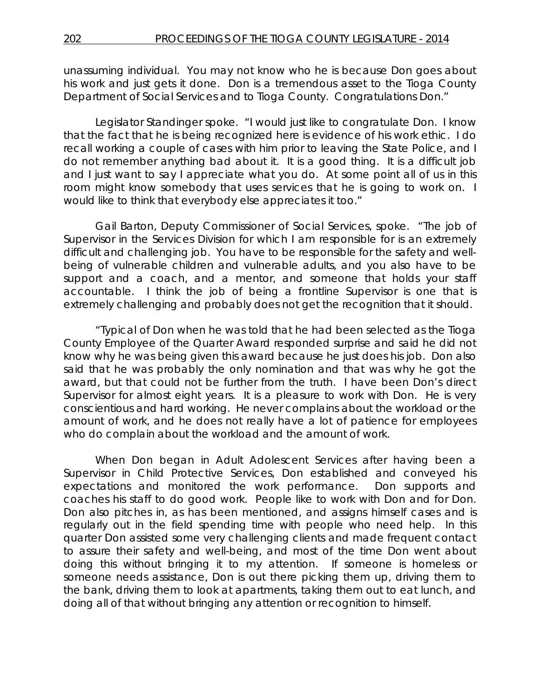unassuming individual. You may not know who he is because Don goes about his work and just gets it done. Don is a tremendous asset to the Tioga County Department of Social Services and to Tioga County. Congratulations Don."

Legislator Standinger spoke. "I would just like to congratulate Don. I know that the fact that he is being recognized here is evidence of his work ethic. I do recall working a couple of cases with him prior to leaving the State Police, and I do not remember anything bad about it. It is a good thing. It is a difficult job and I just want to say I appreciate what you do. At some point all of us in this room might know somebody that uses services that he is going to work on. I would like to think that everybody else appreciates it too."

Gail Barton, Deputy Commissioner of Social Services, spoke. "The job of Supervisor in the Services Division for which I am responsible for is an extremely difficult and challenging job. You have to be responsible for the safety and wellbeing of vulnerable children and vulnerable adults, and you also have to be support and a coach, and a mentor, and someone that holds your staff accountable. I think the job of being a frontline Supervisor is one that is extremely challenging and probably does not get the recognition that it should.

"Typical of Don when he was told that he had been selected as the Tioga County Employee of the Quarter Award responded surprise and said he did not know why he was being given this award because he just does his job. Don also said that he was probably the only nomination and that was why he got the award, but that could not be further from the truth. I have been Don's direct Supervisor for almost eight years. It is a pleasure to work with Don. He is very conscientious and hard working. He never complains about the workload or the amount of work, and he does not really have a lot of patience for employees who do complain about the workload and the amount of work.

When Don began in Adult Adolescent Services after having been a Supervisor in Child Protective Services, Don established and conveyed his expectations and monitored the work performance. Don supports and coaches his staff to do good work. People like to work with Don and for Don. Don also pitches in, as has been mentioned, and assigns himself cases and is regularly out in the field spending time with people who need help. In this quarter Don assisted some very challenging clients and made frequent contact to assure their safety and well-being, and most of the time Don went about doing this without bringing it to my attention. If someone is homeless or someone needs assistance, Don is out there picking them up, driving them to the bank, driving them to look at apartments, taking them out to eat lunch, and doing all of that without bringing any attention or recognition to himself.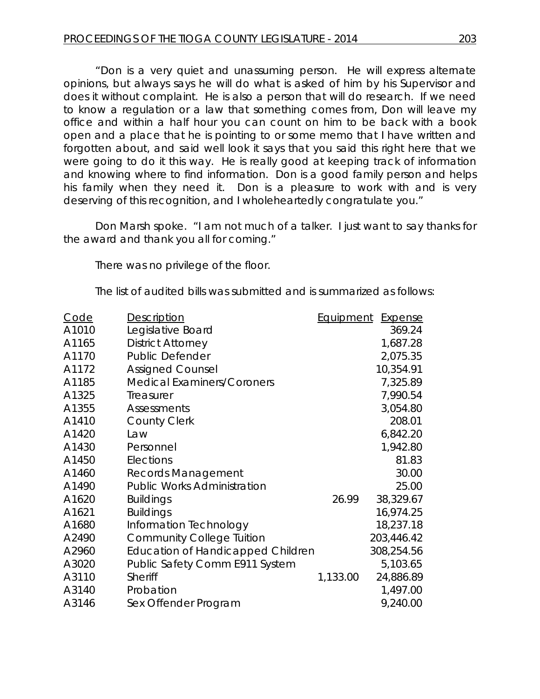"Don is a very quiet and unassuming person. He will express alternate opinions, but always says he will do what is asked of him by his Supervisor and does it without complaint. He is also a person that will do research. If we need to know a regulation or a law that something comes from, Don will leave my office and within a half hour you can count on him to be back with a book open and a place that he is pointing to or some memo that I have written and forgotten about, and said well look it says that you said this right here that we were going to do it this way. He is really good at keeping track of information and knowing where to find information. Don is a good family person and helps his family when they need it. Don is a pleasure to work with and is very deserving of this recognition, and I wholeheartedly congratulate you."

Don Marsh spoke. "I am not much of a talker. I just want to say thanks for the award and thank you all for coming."

There was no privilege of the floor.

The list of audited bills was submitted and is summarized as follows:

| <b>Code</b> | Description                              | Equipment | <b>Expense</b> |
|-------------|------------------------------------------|-----------|----------------|
| A1010       | Legislative Board                        |           | 369.24         |
| A1165       | <b>District Attorney</b>                 |           | 1,687.28       |
| A1170       | Public Defender                          |           | 2,075.35       |
| A1172       | <b>Assigned Counsel</b>                  |           | 10,354.91      |
| A1185       | <b>Medical Examiners/Coroners</b>        |           | 7,325.89       |
| A1325       | Treasurer                                |           | 7,990.54       |
| A1355       | Assessments                              |           | 3,054.80       |
| A1410       | <b>County Clerk</b>                      |           | 208.01         |
| A1420       | Law                                      |           | 6,842.20       |
| A1430       | Personnel                                |           | 1,942.80       |
| A1450       | Elections                                |           | 81.83          |
| A1460       | <b>Records Management</b>                |           | 30.00          |
| A1490       | <b>Public Works Administration</b>       |           | 25.00          |
| A1620       | <b>Buildings</b>                         | 26.99     | 38,329.67      |
| A1621       | <b>Buildings</b>                         |           | 16,974.25      |
| A1680       | Information Technology                   |           | 18,237.18      |
| A2490       | <b>Community College Tuition</b>         |           | 203,446.42     |
| A2960       | <b>Education of Handicapped Children</b> |           | 308,254.56     |
| A3020       | Public Safety Comm E911 System           |           | 5,103.65       |
| A3110       | Sheriff                                  | 1,133.00  | 24,886.89      |
| A3140       | Probation                                |           | 1,497.00       |
| A3146       | Sex Offender Program                     |           | 9,240.00       |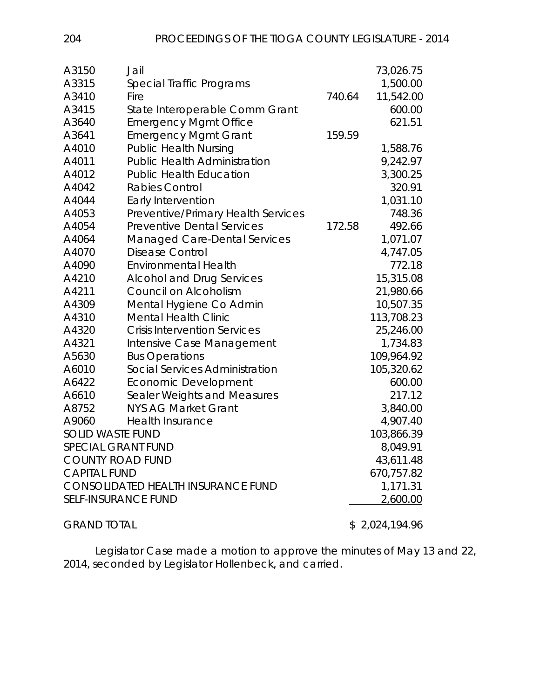| A3150                                     | Jail                                |            | 73,026.75  |
|-------------------------------------------|-------------------------------------|------------|------------|
| A3315                                     | Special Traffic Programs            |            | 1,500.00   |
| A3410                                     | Fire                                | 740.64     | 11,542.00  |
| A3415                                     | State Interoperable Comm Grant      |            | 600.00     |
| A3640                                     | <b>Emergency Mgmt Office</b>        |            | 621.51     |
| A3641                                     | <b>Emergency Mgmt Grant</b>         | 159.59     |            |
| A4010                                     | <b>Public Health Nursing</b>        |            | 1,588.76   |
| A4011                                     | <b>Public Health Administration</b> |            | 9,242.97   |
| A4012                                     | <b>Public Health Education</b>      |            | 3,300.25   |
| A4042                                     | Rabies Control                      |            | 320.91     |
| A4044                                     | Early Intervention                  |            | 1,031.10   |
| A4053                                     | Preventive/Primary Health Services  |            | 748.36     |
| A4054                                     | <b>Preventive Dental Services</b>   | 172.58     | 492.66     |
| A4064                                     | <b>Managed Care-Dental Services</b> |            | 1,071.07   |
| A4070                                     | <b>Disease Control</b>              |            | 4,747.05   |
| A4090                                     | <b>Environmental Health</b>         |            | 772.18     |
| A4210                                     | <b>Alcohol and Drug Services</b>    |            | 15,315.08  |
| A4211                                     | Council on Alcoholism               |            | 21,980.66  |
| A4309                                     | Mental Hygiene Co Admin             |            | 10,507.35  |
| A4310                                     | <b>Mental Health Clinic</b>         |            | 113,708.23 |
| A4320                                     | <b>Crisis Intervention Services</b> |            | 25,246.00  |
| A4321                                     | Intensive Case Management           |            | 1,734.83   |
| A5630                                     | <b>Bus Operations</b>               |            | 109,964.92 |
| A6010                                     | Social Services Administration      |            | 105,320.62 |
| A6422                                     | Economic Development                |            | 600.00     |
| A6610                                     | Sealer Weights and Measures         |            | 217.12     |
| A8752                                     | <b>NYS AG Market Grant</b>          |            | 3,840.00   |
| A9060                                     | <b>Health Insurance</b>             |            | 4,907.40   |
| <b>SOLID WASTE FUND</b>                   |                                     |            | 103,866.39 |
| <b>SPECIAL GRANT FUND</b>                 |                                     |            | 8,049.91   |
| <b>COUNTY ROAD FUND</b>                   |                                     | 43,611.48  |            |
| <b>CAPITAL FUND</b>                       |                                     | 670,757.82 |            |
| <b>CONSOLIDATED HEALTH INSURANCE FUND</b> |                                     | 1,171.31   |            |
| <b>SELF-INSURANCE FUND</b>                |                                     |            | 2,600.00   |
|                                           |                                     |            |            |

GRAND TOTAL \$2,024,194.96

Legislator Case made a motion to approve the minutes of May 13 and 22, 2014, seconded by Legislator Hollenbeck, and carried.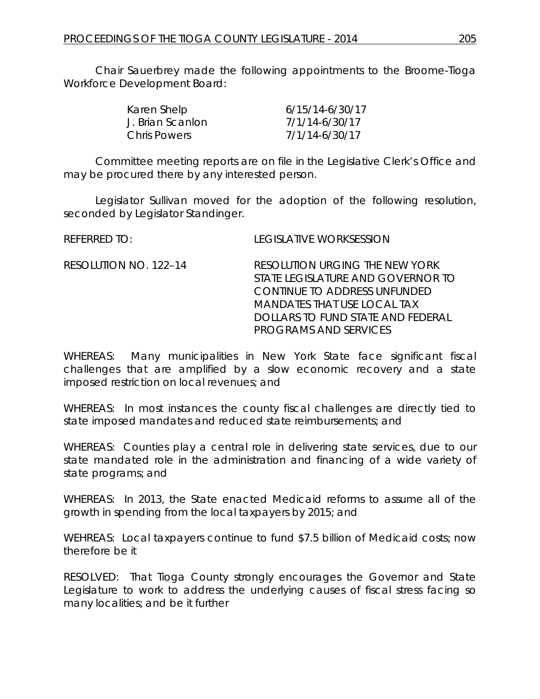Chair Sauerbrey made the following appointments to the Broome-Tioga Workforce Development Board:

| Karen Shelp         | 6/15/14-6/30/17 |
|---------------------|-----------------|
| J. Brian Scanlon    | 7/1/14-6/30/17  |
| <b>Chris Powers</b> | 7/1/14-6/30/17  |

Committee meeting reports are on file in the Legislative Clerk's Office and may be procured there by any interested person.

Legislator Sullivan moved for the adoption of the following resolution, seconded by Legislator Standinger.

| REFERRED TO:          | <b>LEGISLATIVE WORKSESSION</b>                                                                                                                                                                   |
|-----------------------|--------------------------------------------------------------------------------------------------------------------------------------------------------------------------------------------------|
| RESOLUTION NO. 122-14 | RESOLUTION URGING THE NEW YORK<br>STATE LEGISLATURE AND GOVERNOR TO<br>CONTINUE TO ADDRESS UNFUNDED<br>MANDATES THAT USE LOCAL TAX<br>DOLLARS TO FUND STATE AND FEDERAL<br>PROGRAMS AND SERVICES |
|                       |                                                                                                                                                                                                  |

WHEREAS: Many municipalities in New York State face significant fiscal challenges that are amplified by a slow economic recovery and a state imposed restriction on local revenues; and

WHEREAS: In most instances the county fiscal challenges are directly tied to state imposed mandates and reduced state reimbursements; and

WHEREAS: Counties play a central role in delivering state services, due to our state mandated role in the administration and financing of a wide variety of state programs; and

WHEREAS: In 2013, the State enacted Medicaid reforms to assume all of the growth in spending from the local taxpayers by 2015; and

WEHREAS: Local taxpayers continue to fund \$7.5 billion of Medicaid costs; now therefore be it

RESOLVED: That Tioga County strongly encourages the Governor and State Legislature to work to address the underlying causes of fiscal stress facing so many localities; and be it further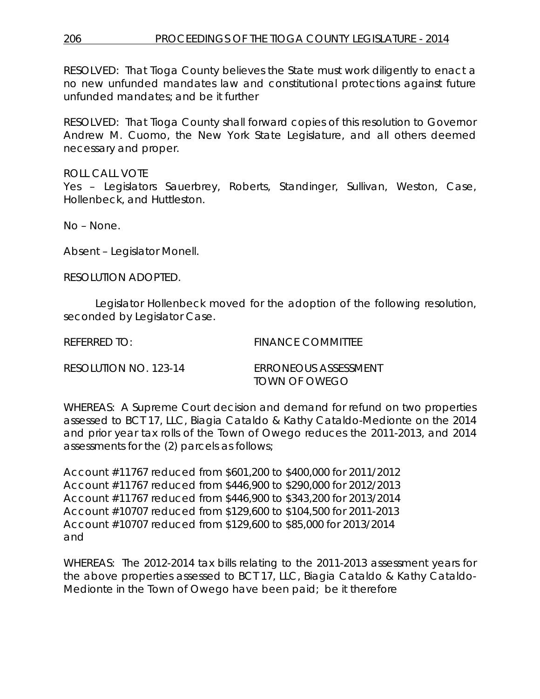RESOLVED: That Tioga County believes the State must work diligently to enact a no new unfunded mandates law and constitutional protections against future unfunded mandates; and be it further

RESOLVED: That Tioga County shall forward copies of this resolution to Governor Andrew M. Cuomo, the New York State Legislature, and all others deemed necessary and proper.

ROLL CALL VOTE Yes – Legislators Sauerbrey, Roberts, Standinger, Sullivan, Weston, Case, Hollenbeck, and Huttleston.

No – None.

Absent – Legislator Monell.

RESOLUTION ADOPTED.

Legislator Hollenbeck moved for the adoption of the following resolution, seconded by Legislator Case.

REFERRED TO: FINANCE COMMITTEE

RESOLUTION NO. 123-14 *ERRONEOUS ASSESSMENT*

*TOWN OF OWEGO*

WHEREAS: A Supreme Court decision and demand for refund on two properties assessed to BCT 17, LLC, Biagia Cataldo & Kathy Cataldo-Medionte on the 2014 and prior year tax rolls of the Town of Owego reduces the 2011-2013, and 2014 assessments for the (2) parcels as follows;

Account #11767 reduced from \$601,200 to \$400,000 for 2011/2012 Account #11767 reduced from \$446,900 to \$290,000 for 2012/2013 Account #11767 reduced from \$446,900 to \$343,200 for 2013/2014 Account #10707 reduced from \$129,600 to \$104,500 for 2011-2013 Account #10707 reduced from \$129,600 to \$85,000 for 2013/2014 and

WHEREAS: The 2012-2014 tax bills relating to the 2011-2013 assessment years for the above properties assessed to BCT 17, LLC, Biagia Cataldo & Kathy Cataldo-Medionte in the Town of Owego have been paid; be it therefore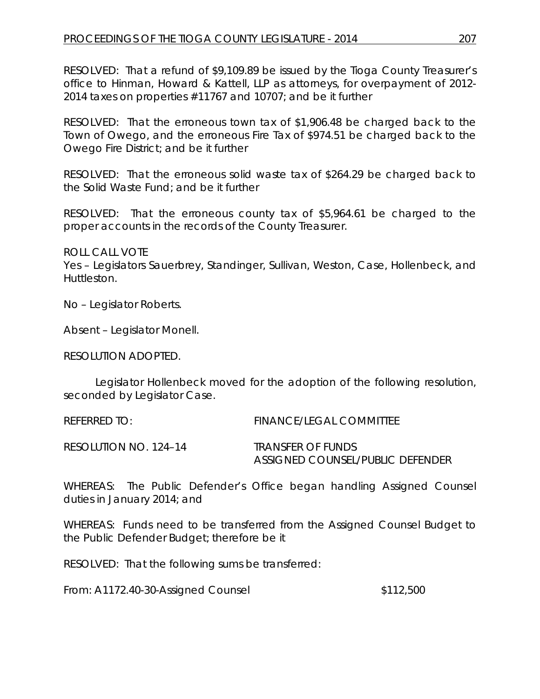RESOLVED: That a refund of \$9,109.89 be issued by the Tioga County Treasurer's office to Hinman, Howard & Kattell, LLP as attorneys, for overpayment of 2012- 2014 taxes on properties #11767 and 10707; and be it further

RESOLVED: That the erroneous town tax of \$1,906.48 be charged back to the Town of Owego, and the erroneous Fire Tax of \$974.51 be charged back to the Owego Fire District; and be it further

RESOLVED: That the erroneous solid waste tax of \$264.29 be charged back to the Solid Waste Fund; and be it further

RESOLVED: That the erroneous county tax of \$5,964.61 be charged to the proper accounts in the records of the County Treasurer.

ROLL CALL VOTE

Yes – Legislators Sauerbrey, Standinger, Sullivan, Weston, Case, Hollenbeck, and Huttleston.

No – Legislator Roberts.

Absent – Legislator Monell.

RESOLUTION ADOPTED.

Legislator Hollenbeck moved for the adoption of the following resolution, seconded by Legislator Case.

| REFERRED TO:          | <b>FINANCE/LEGAL COMMITTEE</b>                        |
|-----------------------|-------------------------------------------------------|
| RESOLUTION NO. 124–14 | TRANSFER OF FUNDS<br>ASSIGNED COUNSEL/PUBLIC DEFENDER |

WHEREAS: The Public Defender's Office began handling Assigned Counsel duties in January 2014; and

WHEREAS: Funds need to be transferred from the Assigned Counsel Budget to the Public Defender Budget; therefore be it

RESOLVED: That the following sums be transferred:

From: A1172.40-30-Assigned Counsel  $$112,500$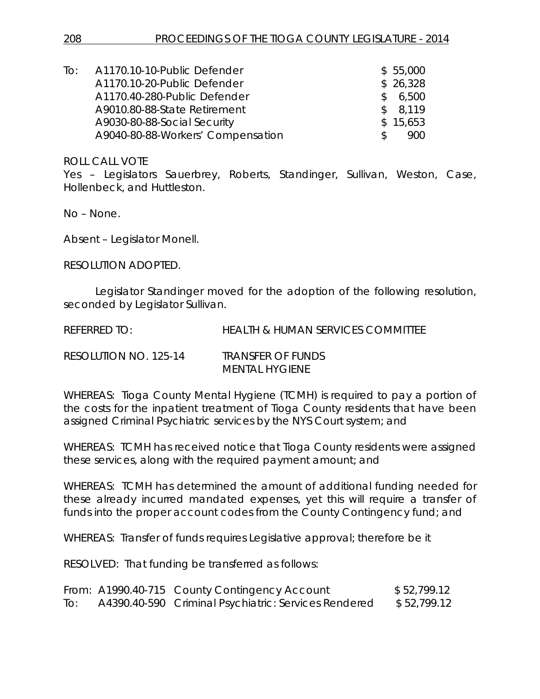| To: | A1170.10-10-Public Defender       |    | \$55,000 |
|-----|-----------------------------------|----|----------|
|     | A1170.10-20-Public Defender       |    | \$26,328 |
|     | A1170.40-280-Public Defender      | S. | 6,500    |
|     | A9010.80-88-State Retirement      |    | \$8,119  |
|     | A9030-80-88-Social Security       |    | \$15,653 |
|     | A9040-80-88-Workers' Compensation |    | 900      |

ROLL CALL VOTE

Yes – Legislators Sauerbrey, Roberts, Standinger, Sullivan, Weston, Case, Hollenbeck, and Huttleston.

No – None.

Absent – Legislator Monell.

RESOLUTION ADOPTED.

Legislator Standinger moved for the adoption of the following resolution, seconded by Legislator Sullivan.

REFERRED TO: HEALTH & HUMAN SERVICES COMMITTEE

| RESOLUTION NO. 125-14 | <b>TRANSFER OF FUNDS</b> |
|-----------------------|--------------------------|
|                       | MENTAL HYGIENE           |

WHEREAS: Tioga County Mental Hygiene (TCMH) is required to pay a portion of the costs for the inpatient treatment of Tioga County residents that have been assigned Criminal Psychiatric services by the NYS Court system; and

WHEREAS: TCMH has received notice that Tioga County residents were assigned these services, along with the required payment amount; and

WHEREAS: TCMH has determined the amount of additional funding needed for these already incurred mandated expenses, yet this will require a transfer of funds into the proper account codes from the County Contingency fund; and

WHEREAS: Transfer of funds requires Legislative approval; therefore be it

RESOLVED: That funding be transferred as follows:

|     | From: A1990.40-715 County Contingency Account        | \$52,799.12 |
|-----|------------------------------------------------------|-------------|
| To: | A4390.40-590 Criminal Psychiatric: Services Rendered | \$52,799.12 |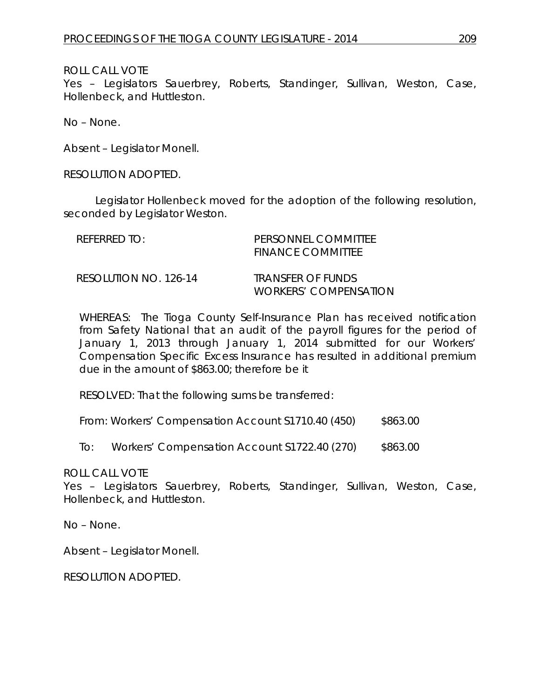# ROLL CALL VOTE

Yes – Legislators Sauerbrey, Roberts, Standinger, Sullivan, Weston, Case, Hollenbeck, and Huttleston.

No – None.

Absent – Legislator Monell.

RESOLUTION ADOPTED.

Legislator Hollenbeck moved for the adoption of the following resolution, seconded by Legislator Weston.

| REFERRED TO:          | PERSONNEL COMMITTEE<br><b>FINANCE COMMITTEE</b>                 |
|-----------------------|-----------------------------------------------------------------|
| RESOLUTION NO. 126-14 | <i><b>TRANSFER OF FUNDS</b></i><br><i>WORKERS' COMPENSATION</i> |

WHEREAS: The Tioga County Self-Insurance Plan has received notification from Safety National that an audit of the payroll figures for the period of January 1, 2013 through January 1, 2014 submitted for our Workers' Compensation Specific Excess Insurance has resulted in additional premium due in the amount of \$863.00; therefore be it

RESOLVED: That the following sums be transferred:

From: Workers' Compensation Account S1710.40 (450) \$863.00

To: Workers' Compensation Account S1722.40 (270) \$863.00

ROLL CALL VOTE

Yes – Legislators Sauerbrey, Roberts, Standinger, Sullivan, Weston, Case, Hollenbeck, and Huttleston.

No – None.

Absent – Legislator Monell.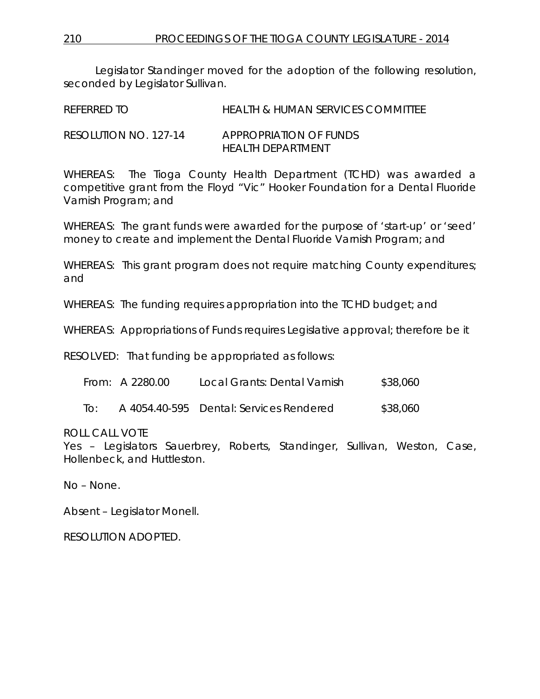210 PROCEEDINGS OF THE TIOGA COUNTY LEGISLATURE - 2014

Legislator Standinger moved for the adoption of the following resolution, seconded by Legislator Sullivan.

REFERRED TO HEALTH & HUMAN SERVICES COMMITTEE RESOLUTION NO. 127-14 *APPROPRIATION OF FUNDS*

*HEALTH DEPARTMENT*

WHEREAS: The Tioga County Health Department (TCHD) was awarded a competitive grant from the Floyd "Vic" Hooker Foundation for a Dental Fluoride Varnish Program; and

WHEREAS: The grant funds were awarded for the purpose of 'start-up' or 'seed' money to create and implement the Dental Fluoride Varnish Program; and

WHEREAS: This grant program does not require matching County expenditures; and

WHEREAS: The funding requires appropriation into the TCHD budget; and

WHEREAS: Appropriations of Funds requires Legislative approval; therefore be it

RESOLVED: That funding be appropriated as follows:

| \$38,060<br>From: A 2280.00<br>Local Grants: Dental Varnish |
|-------------------------------------------------------------|
|-------------------------------------------------------------|

To: A 4054.40-595 Dental: Services Rendered \$38,060

ROLL CALL VOTE

Yes – Legislators Sauerbrey, Roberts, Standinger, Sullivan, Weston, Case, Hollenbeck, and Huttleston.

No – None.

Absent – Legislator Monell.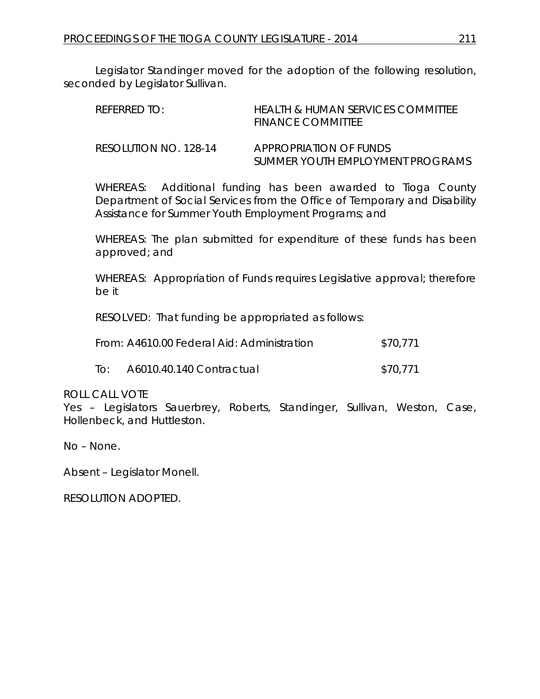Legislator Standinger moved for the adoption of the following resolution, seconded by Legislator Sullivan.

| RFFFRRFD TO:          | HEALTH & HUMAN SERVICES COMMITTEE<br>FINANCE COMMITTEE     |
|-----------------------|------------------------------------------------------------|
| RESOLUTION NO. 128-14 | APPROPRIATION OF FUNDS<br>SUMMER YOUTH EMPLOYMENT PROGRAMS |

WHEREAS: Additional funding has been awarded to Tioga County Department of Social Services from the Office of Temporary and Disability Assistance for Summer Youth Employment Programs; and

WHEREAS: The plan submitted for expenditure of these funds has been approved; and

WHEREAS: Appropriation of Funds requires Legislative approval; therefore be it

RESOLVED: That funding be appropriated as follows:

|     | From: A4610.00 Federal Aid: Administration | \$70.771 |
|-----|--------------------------------------------|----------|
| To: | A6010.40.140 Contractual                   | \$70,771 |

#### ROLL CALL VOTE

Yes – Legislators Sauerbrey, Roberts, Standinger, Sullivan, Weston, Case, Hollenbeck, and Huttleston.

No – None.

Absent – Legislator Monell.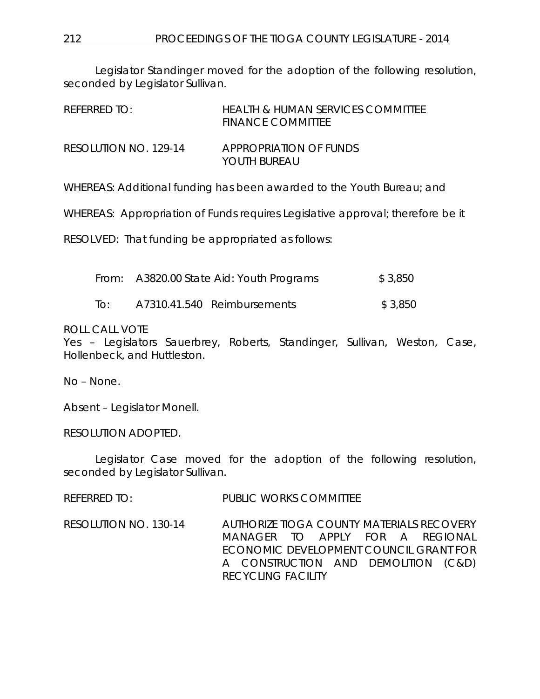Legislator Standinger moved for the adoption of the following resolution, seconded by Legislator Sullivan.

| REFERRED TO:          | HEALTH & HUMAN SERVICES COMMITTEE<br><b>FINANCE COMMITTEE</b> |
|-----------------------|---------------------------------------------------------------|
| RESOLUTION NO. 129-14 | APPROPRIATION OF FUNDS<br>YOUTH BUREAU                        |

WHEREAS: Additional funding has been awarded to the Youth Bureau; and

WHEREAS: Appropriation of Funds requires Legislative approval; therefore be it

RESOLVED: That funding be appropriated as follows:

| From: A3820.00 State Aid: Youth Programs | \$3,850 |
|------------------------------------------|---------|
|                                          |         |

To: A7310.41.540 Reimbursements \$ 3,850

### ROLL CALL VOTE

Yes – Legislators Sauerbrey, Roberts, Standinger, Sullivan, Weston, Case, Hollenbeck, and Huttleston.

No – None.

Absent – Legislator Monell.

RESOLUTION ADOPTED.

Legislator Case moved for the adoption of the following resolution, seconded by Legislator Sullivan.

REFERRED TO: PUBLIC WORKS COMMITTEE

RESOLUTION NO. 130-14 *AUTHORIZE TIOGA COUNTY MATERIALS RECOVERY MANAGER TO APPLY FOR A REGIONAL ECONOMIC DEVELOPMENT COUNCIL GRANT FOR A CONSTRUCTION AND DEMOLITION (C&D) RECYCLING FACILITY*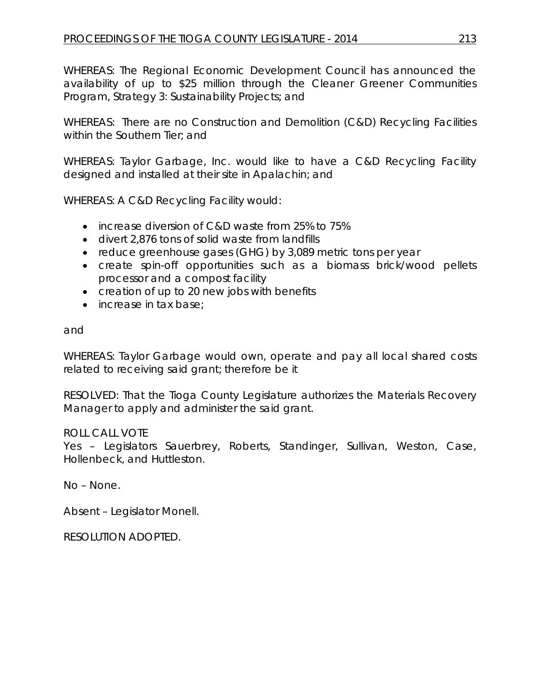WHEREAS: The Regional Economic Development Council has announced the availability of up to \$25 million through the Cleaner Greener Communities Program, Strategy 3: Sustainability Projects; and

WHEREAS: There are no Construction and Demolition (C&D) Recycling Facilities within the Southern Tier; and

WHEREAS: Taylor Garbage, Inc. would like to have a C&D Recycling Facility designed and installed at their site in Apalachin; and

WHEREAS: A C&D Recycling Facility would:

- increase diversion of C&D waste from 25% to 75%
- divert 2,876 tons of solid waste from landfills
- reduce greenhouse gases (GHG) by 3,089 metric tons per year
- create spin-off opportunities such as a biomass brick/wood pellets processor and a compost facility
- creation of up to 20 new jobs with benefits
- increase in tax base:

and

WHEREAS: Taylor Garbage would own, operate and pay all local shared costs related to receiving said grant; therefore be it

RESOLVED: That the Tioga County Legislature authorizes the Materials Recovery Manager to apply and administer the said grant.

# ROLL CALL VOTE

Yes – Legislators Sauerbrey, Roberts, Standinger, Sullivan, Weston, Case, Hollenbeck, and Huttleston.

No – None.

Absent – Legislator Monell.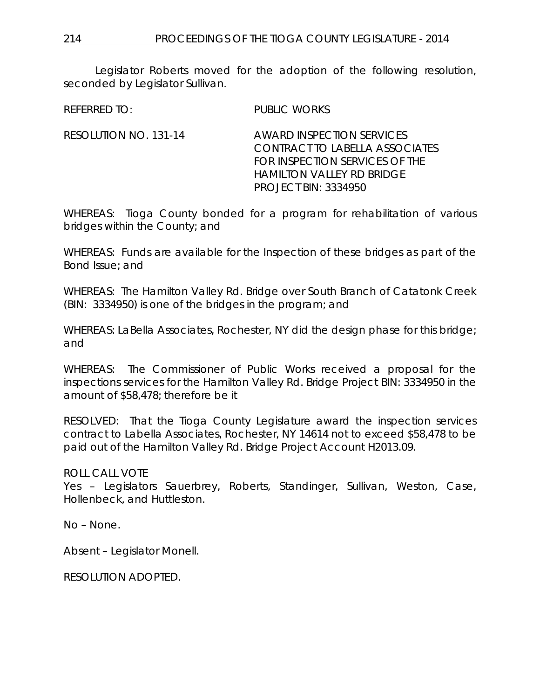Legislator Roberts moved for the adoption of the following resolution, seconded by Legislator Sullivan.

REFERRED TO: PUBLIC WORKS

RESOLUTION NO. 131-14 *AWARD INSPECTION SERVICES CONTRACT TO LABELLA ASSOCIATES FOR INSPECTION SERVICES OF THE HAMILTON VALLEY RD BRIDGE PROJECT BIN: 3334950*

WHEREAS: Tioga County bonded for a program for rehabilitation of various bridges within the County; and

WHEREAS: Funds are available for the Inspection of these bridges as part of the Bond Issue; and

WHEREAS: The Hamilton Valley Rd. Bridge over South Branch of Catatonk Creek (BIN: 3334950) is one of the bridges in the program; and

WHEREAS: LaBella Associates, Rochester, NY did the design phase for this bridge; and

WHEREAS: The Commissioner of Public Works received a proposal for the inspections services for the Hamilton Valley Rd. Bridge Project BIN: 3334950 in the amount of \$58,478; therefore be it

RESOLVED: That the Tioga County Legislature award the inspection services contract to Labella Associates, Rochester, NY 14614 not to exceed \$58,478 to be paid out of the Hamilton Valley Rd. Bridge Project Account H2013.09.

ROLL CALL VOTE

Yes – Legislators Sauerbrey, Roberts, Standinger, Sullivan, Weston, Case, Hollenbeck, and Huttleston.

No – None.

Absent – Legislator Monell.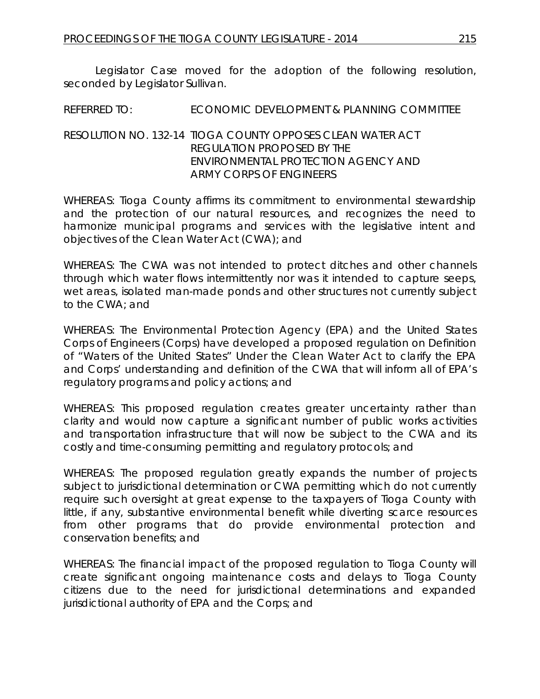Legislator Case moved for the adoption of the following resolution, seconded by Legislator Sullivan.

REFERRED TO: ECONOMIC DEVELOPMENT & PLANNING COMMITTEE

### RESOLUTION NO. 132-14 *TIOGA COUNTY OPPOSES CLEAN WATER ACT REGULATION PROPOSED BY THE ENVIRONMENTAL PROTECTION AGENCY AND ARMY CORPS OF ENGINEERS*

WHEREAS: Tioga County affirms its commitment to environmental stewardship and the protection of our natural resources, and recognizes the need to harmonize municipal programs and services with the legislative intent and objectives of the Clean Water Act (CWA); and

WHEREAS: The CWA was not intended to protect ditches and other channels through which water flows intermittently nor was it intended to capture seeps, wet areas, isolated man-made ponds and other structures not currently subject to the CWA; and

WHEREAS: The Environmental Protection Agency (EPA) and the United States Corps of Engineers (Corps) have developed a proposed regulation on Definition of "Waters of the United States" Under the Clean Water Act to clarify the EPA and Corps' understanding and definition of the CWA that will inform all of EPA's regulatory programs and policy actions; and

WHEREAS: This proposed regulation creates greater uncertainty rather than clarity and would now capture a significant number of public works activities and transportation infrastructure that will now be subject to the CWA and its costly and time-consuming permitting and regulatory protocols; and

WHEREAS: The proposed regulation greatly expands the number of projects subject to jurisdictional determination or CWA permitting which do not currently require such oversight at great expense to the taxpayers of Tioga County with little, if any, substantive environmental benefit while diverting scarce resources from other programs that do provide environmental protection and conservation benefits; and

WHEREAS: The financial impact of the proposed regulation to Tioga County will create significant ongoing maintenance costs and delays to Tioga County citizens due to the need for jurisdictional determinations and expanded jurisdictional authority of EPA and the Corps; and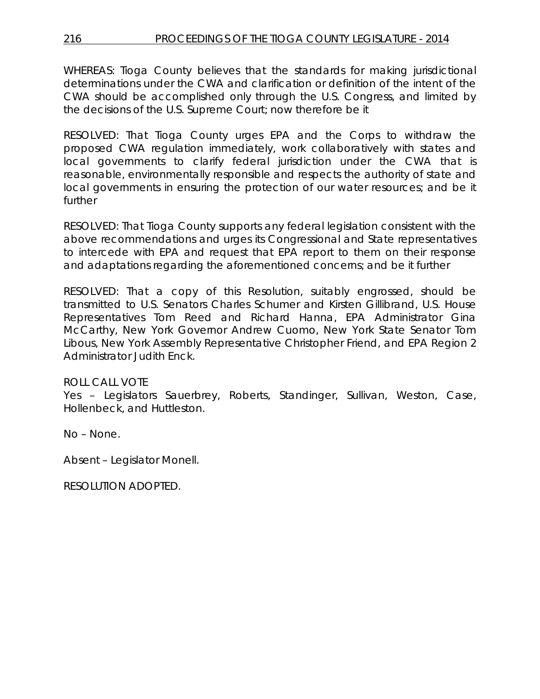WHEREAS: Tioga County believes that the standards for making jurisdictional determinations under the CWA and clarification or definition of the intent of the CWA should be accomplished only through the U.S. Congress, and limited by the decisions of the U.S. Supreme Court; now therefore be it

RESOLVED: That Tioga County urges EPA and the Corps to withdraw the proposed CWA regulation immediately, work collaboratively with states and local governments to clarify federal jurisdiction under the CWA that is reasonable, environmentally responsible and respects the authority of state and local governments in ensuring the protection of our water resources; and be it further

RESOLVED: That Tioga County supports any federal legislation consistent with the above recommendations and urges its Congressional and State representatives to intercede with EPA and request that EPA report to them on their response and adaptations regarding the aforementioned concerns; and be it further

RESOLVED: That a copy of this Resolution, suitably engrossed, should be transmitted to U.S. Senators Charles Schumer and Kirsten Gillibrand, U.S. House Representatives Tom Reed and Richard Hanna, EPA Administrator Gina McCarthy, New York Governor Andrew Cuomo, New York State Senator Tom Libous, New York Assembly Representative Christopher Friend, and EPA Region 2 Administrator Judith Enck.

# ROLL CALL VOTE

Yes – Legislators Sauerbrey, Roberts, Standinger, Sullivan, Weston, Case, Hollenbeck, and Huttleston.

No – None.

Absent – Legislator Monell.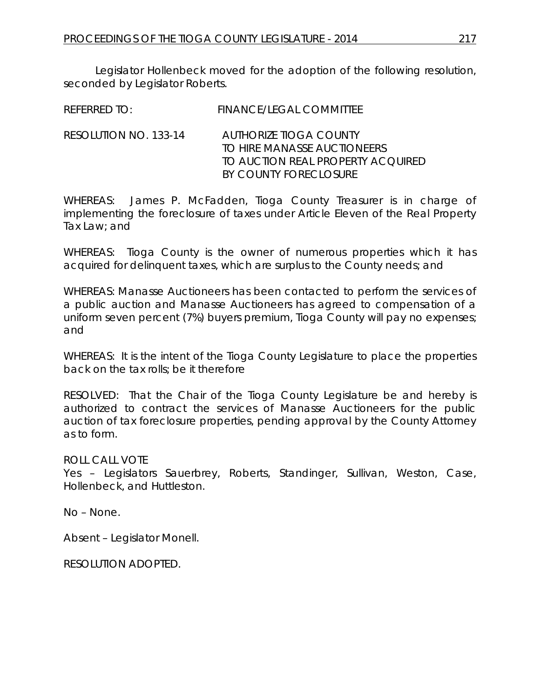Legislator Hollenbeck moved for the adoption of the following resolution, seconded by Legislator Roberts.

| REFERRED TO:          | FINANCE/LEGAL COMMITTEE                               |
|-----------------------|-------------------------------------------------------|
| RESOLUTION NO. 133-14 | AUTHORIZE TIOGA COUNTY<br>TO HIRE MANASSE AUCTIONEERS |
|                       | TO AUCTION REAL PROPERTY ACOUIRED                     |
|                       | BY COUNTY FORECLOSURE                                 |

WHEREAS: James P. McFadden, Tioga County Treasurer is in charge of implementing the foreclosure of taxes under Article Eleven of the Real Property Tax Law; and

WHEREAS: Tioga County is the owner of numerous properties which it has acquired for delinquent taxes, which are surplus to the County needs; and

WHEREAS: Manasse Auctioneers has been contacted to perform the services of a public auction and Manasse Auctioneers has agreed to compensation of a uniform seven percent (7%) buyers premium, Tioga County will pay no expenses; and

WHEREAS: It is the intent of the Tioga County Legislature to place the properties back on the tax rolls; be it therefore

RESOLVED: That the Chair of the Tioga County Legislature be and hereby is authorized to contract the services of Manasse Auctioneers for the public auction of tax foreclosure properties, pending approval by the County Attorney as to form.

ROLL CALL VOTE

Yes – Legislators Sauerbrey, Roberts, Standinger, Sullivan, Weston, Case, Hollenbeck, and Huttleston.

No – None.

Absent – Legislator Monell.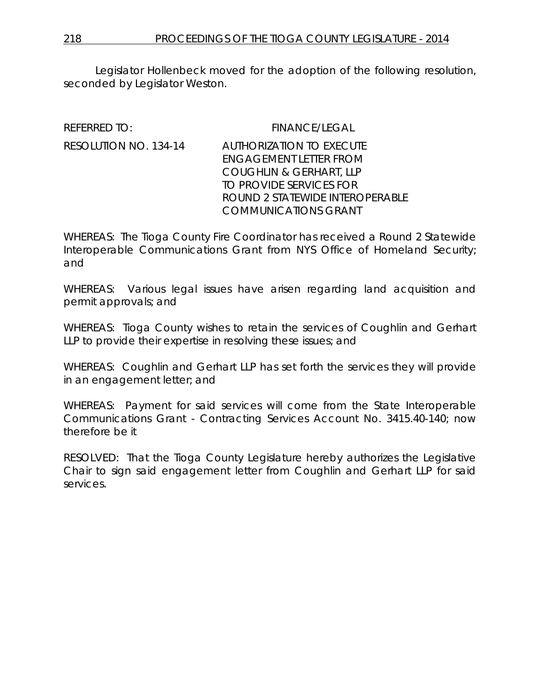Legislator Hollenbeck moved for the adoption of the following resolution, seconded by Legislator Weston.

REFERRED TO: FINANCE/LEGAL

# RESOLUTION NO. 134-14 AUTHORIZATION TO EXECUTE ENGAGEMENT LETTER FROM COUGHLIN & GERHART, LLP TO PROVIDE SERVICES FOR ROUND 2 STATEWIDE INTEROPERABLE COMMUNICATIONS GRANT

WHEREAS: The Tioga County Fire Coordinator has received a Round 2 Statewide Interoperable Communications Grant from NYS Office of Homeland Security; and

WHEREAS: Various legal issues have arisen regarding land acquisition and permit approvals; and

WHEREAS: Tioga County wishes to retain the services of Coughlin and Gerhart LLP to provide their expertise in resolving these issues; and

WHEREAS: Coughlin and Gerhart LLP has set forth the services they will provide in an engagement letter; and

WHEREAS: Payment for said services will come from the State Interoperable Communications Grant - Contracting Services Account No. 3415.40-140; now therefore be it

RESOLVED: That the Tioga County Legislature hereby authorizes the Legislative Chair to sign said engagement letter from Coughlin and Gerhart LLP for said services.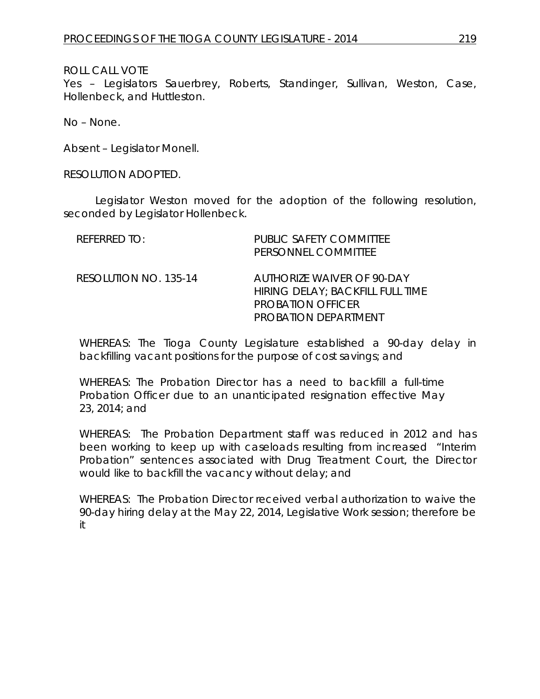## ROLL CALL VOTE

Yes – Legislators Sauerbrey, Roberts, Standinger, Sullivan, Weston, Case, Hollenbeck, and Huttleston.

No – None.

Absent – Legislator Monell.

#### RESOLUTION ADOPTED.

Legislator Weston moved for the adoption of the following resolution, seconded by Legislator Hollenbeck.

| REFERRED TO:          | <b>PUBLIC SAFETY COMMITTEE</b><br>PERSONNEL COMMITTEE                                                              |
|-----------------------|--------------------------------------------------------------------------------------------------------------------|
| RESOLUTION NO. 135-14 | AUTHORIZE WAIVER OF 90-DAY<br>HIRING DELAY; BACKFILL FULL TIME<br><b>PROBATION OFFICER</b><br>PROBATION DEPARTMENT |

WHEREAS: The Tioga County Legislature established a 90-day delay in backfilling vacant positions for the purpose of cost savings; and

WHEREAS: The Probation Director has a need to backfill a full-time Probation Officer due to an unanticipated resignation effective May 23, 2014; and

WHEREAS: The Probation Department staff was reduced in 2012 and has been working to keep up with caseloads resulting from increased "Interim Probation" sentences associated with Drug Treatment Court, the Director would like to backfill the vacancy without delay; and

WHEREAS: The Probation Director received verbal authorization to waive the 90-day hiring delay at the May 22, 2014, Legislative Work session; therefore be it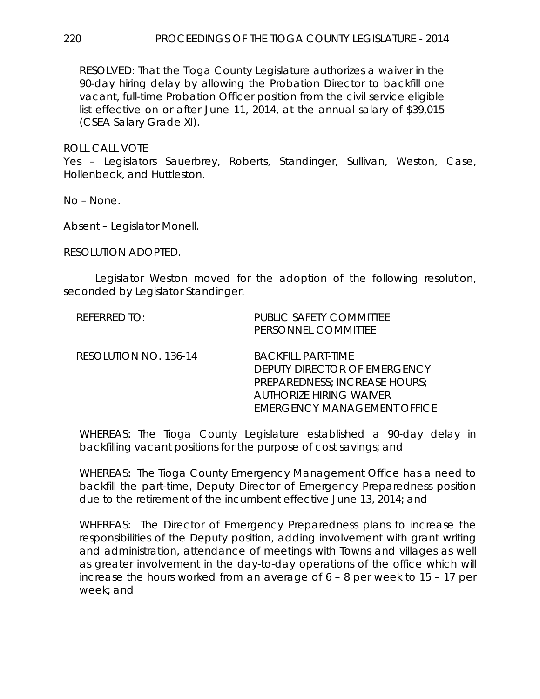RESOLVED: That the Tioga County Legislature authorizes a waiver in the 90-day hiring delay by allowing the Probation Director to backfill one vacant, full-time Probation Officer position from the civil service eligible list effective on or after June 11, 2014, at the annual salary of \$39,015 (CSEA Salary Grade XI).

ROLL CALL VOTE

Yes – Legislators Sauerbrey, Roberts, Standinger, Sullivan, Weston, Case, Hollenbeck, and Huttleston.

No – None.

Absent – Legislator Monell.

RESOLUTION ADOPTED.

Legislator Weston moved for the adoption of the following resolution, seconded by Legislator Standinger.

| <b>REFERRED TO:</b>   | PUBLIC SAFETY COMMITTEE<br>PERSONNEL COMMITTEE                                                                                                              |
|-----------------------|-------------------------------------------------------------------------------------------------------------------------------------------------------------|
| RESOLUTION NO. 136-14 | <b>BACKFILL PART-TIME</b><br>DEPUTY DIRECTOR OF EMERGENCY<br>PREPAREDNESS; INCREASE HOURS;<br><b>AUTHORIZE HIRING WAIVER</b><br>EMERGENCY MANAGEMENT OFFICE |

WHEREAS: The Tioga County Legislature established a 90-day delay in backfilling vacant positions for the purpose of cost savings; and

WHEREAS: The Tioga County Emergency Management Office has a need to backfill the part-time, Deputy Director of Emergency Preparedness position due to the retirement of the incumbent effective June 13, 2014; and

WHEREAS: The Director of Emergency Preparedness plans to increase the responsibilities of the Deputy position, adding involvement with grant writing and administration, attendance of meetings with Towns and villages as well as greater involvement in the day-to-day operations of the office which will increase the hours worked from an average of 6 – 8 per week to 15 – 17 per week; and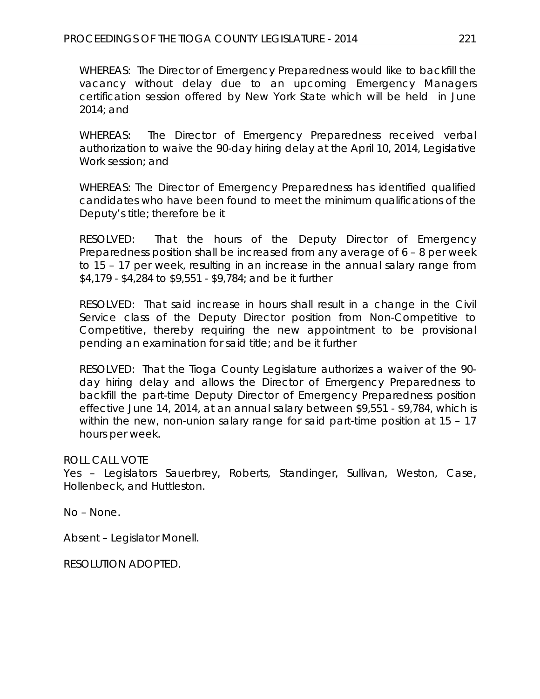WHEREAS: The Director of Emergency Preparedness would like to backfill the vacancy without delay due to an upcoming Emergency Managers certification session offered by New York State which will be held in June 2014; and

WHEREAS: The Director of Emergency Preparedness received verbal authorization to waive the 90-day hiring delay at the April 10, 2014, Legislative Work session; and

WHEREAS: The Director of Emergency Preparedness has identified qualified candidates who have been found to meet the minimum qualifications of the Deputy's title; therefore be it

RESOLVED: That the hours of the Deputy Director of Emergency Preparedness position shall be increased from any average of 6 – 8 per week to 15 – 17 per week, resulting in an increase in the annual salary range from \$4,179 - \$4,284 to \$9,551 - \$9,784; and be it further

RESOLVED: That said increase in hours shall result in a change in the Civil Service class of the Deputy Director position from Non-Competitive to Competitive, thereby requiring the new appointment to be provisional pending an examination for said title; and be it further

RESOLVED: That the Tioga County Legislature authorizes a waiver of the 90 day hiring delay and allows the Director of Emergency Preparedness to backfill the part-time Deputy Director of Emergency Preparedness position effective June 14, 2014, at an annual salary between \$9,551 - \$9,784, which is within the new, non-union salary range for said part-time position at 15 – 17 hours per week.

# ROLL CALL VOTE

Yes – Legislators Sauerbrey, Roberts, Standinger, Sullivan, Weston, Case, Hollenbeck, and Huttleston.

No – None.

Absent – Legislator Monell.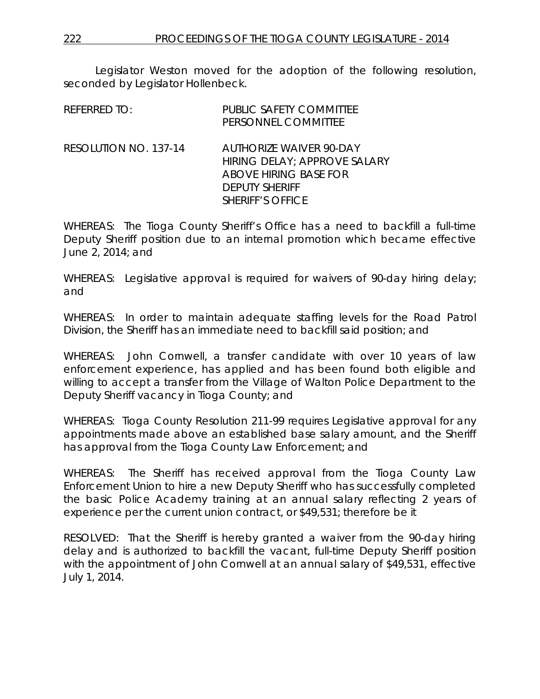Legislator Weston moved for the adoption of the following resolution, seconded by Legislator Hollenbeck.

| <b>REFERRED TO:</b>   | PUBLIC SAFETY COMMITTEE<br>PERSONNEL COMMITTEE                                                                                                     |
|-----------------------|----------------------------------------------------------------------------------------------------------------------------------------------------|
| RESOLUTION NO. 137-14 | <b>AUTHORIZE WAIVER 90-DAY</b><br>HIRING DELAY; APPROVE SALARY<br><b>ABOVE HIRING BASE FOR</b><br><b>DEPUTY SHERIFF</b><br><b>SHERIFF'S OFFICE</b> |

WHEREAS: The Tioga County Sheriff's Office has a need to backfill a full-time Deputy Sheriff position due to an internal promotion which became effective June 2, 2014; and

WHEREAS: Legislative approval is required for waivers of 90-day hiring delay; and

WHEREAS: In order to maintain adequate staffing levels for the Road Patrol Division, the Sheriff has an immediate need to backfill said position; and

WHEREAS: John Cornwell, a transfer candidate with over 10 years of law enforcement experience, has applied and has been found both eligible and willing to accept a transfer from the Village of Walton Police Department to the Deputy Sheriff vacancy in Tioga County; and

WHEREAS: Tioga County Resolution 211-99 requires Legislative approval for any appointments made above an established base salary amount, and the Sheriff has approval from the Tioga County Law Enforcement; and

WHEREAS: The Sheriff has received approval from the Tioga County Law Enforcement Union to hire a new Deputy Sheriff who has successfully completed the basic Police Academy training at an annual salary reflecting 2 years of experience per the current union contract, or \$49,531; therefore be it

RESOLVED: That the Sheriff is hereby granted a waiver from the 90-day hiring delay and is authorized to backfill the vacant, full-time Deputy Sheriff position with the appointment of John Cornwell at an annual salary of \$49,531, effective July 1, 2014.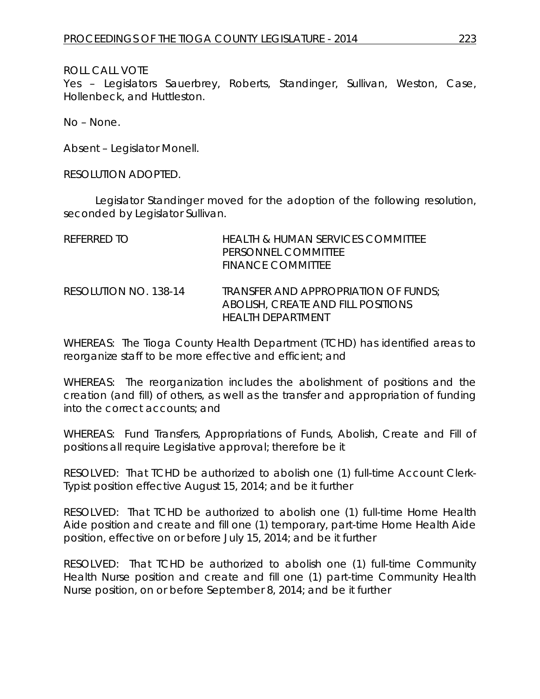# ROLL CALL VOTE

Yes – Legislators Sauerbrey, Roberts, Standinger, Sullivan, Weston, Case, Hollenbeck, and Huttleston.

No – None.

Absent – Legislator Monell.

RESOLUTION ADOPTED.

Legislator Standinger moved for the adoption of the following resolution, seconded by Legislator Sullivan.

| REFERRED TO           | <b>HEALTH &amp; HUMAN SERVICES COMMITTEE</b><br>PERSONNEL COMMITTEE<br><b>FINANCE COMMITTEE</b>  |
|-----------------------|--------------------------------------------------------------------------------------------------|
| RESOLUTION NO. 138-14 | TRANSFER AND APPROPRIATION OF FUNDS:<br>ABOLISH, CREATE AND FILL POSITIONS<br>HEAI TH DEPARTMENT |

WHEREAS: The Tioga County Health Department (TCHD) has identified areas to reorganize staff to be more effective and efficient; and

WHEREAS: The reorganization includes the abolishment of positions and the creation (and fill) of others, as well as the transfer and appropriation of funding into the correct accounts; and

WHEREAS: Fund Transfers, Appropriations of Funds, Abolish, Create and Fill of positions all require Legislative approval; therefore be it

RESOLVED: That TCHD be authorized to abolish one (1) full-time Account Clerk-Typist position effective August 15, 2014; and be it further

RESOLVED: That TCHD be authorized to abolish one (1) full-time Home Health Aide position and create and fill one (1) temporary, part-time Home Health Aide position, effective on or before July 15, 2014; and be it further

RESOLVED: That TCHD be authorized to abolish one (1) full-time Community Health Nurse position and create and fill one (1) part-time Community Health Nurse position, on or before September 8, 2014; and be it further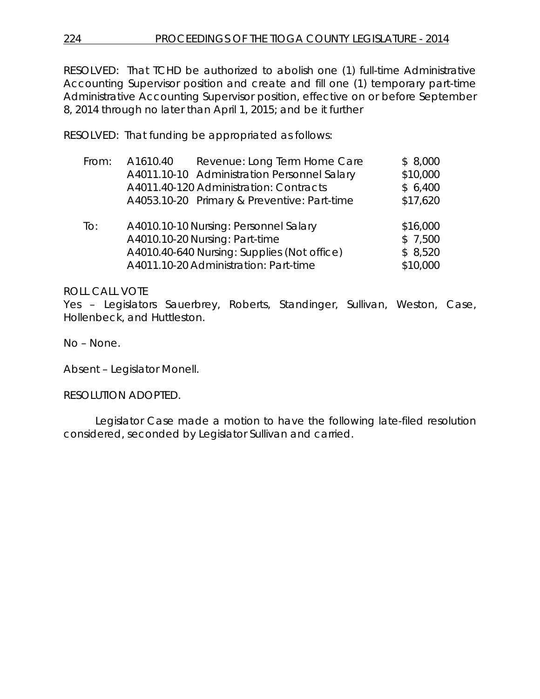RESOLVED: That TCHD be authorized to abolish one (1) full-time Administrative Accounting Supervisor position and create and fill one (1) temporary part-time Administrative Accounting Supervisor position, effective on or before September 8, 2014 through no later than April 1, 2015; and be it further

RESOLVED: That funding be appropriated as follows:

| From: | A1610.40 | Revenue: Long Term Home Care                | \$8,000  |
|-------|----------|---------------------------------------------|----------|
|       |          | A4011.10-10 Administration Personnel Salary | \$10,000 |
|       |          | A4011.40-120 Administration: Contracts      | \$6,400  |
|       |          | A4053.10-20 Primary & Preventive: Part-time | \$17,620 |
|       |          |                                             |          |
| To:   |          | A4010.10-10 Nursing: Personnel Salary       | \$16,000 |
|       |          | A4010.10-20 Nursing: Part-time              | \$7,500  |
|       |          | A4010.40-640 Nursing: Supplies (Not office) | \$8,520  |
|       |          | A4011.10-20 Administration: Part-time       | \$10,000 |

# ROLL CALL VOTE

Yes – Legislators Sauerbrey, Roberts, Standinger, Sullivan, Weston, Case, Hollenbeck, and Huttleston.

No – None.

Absent – Legislator Monell.

RESOLUTION ADOPTED.

Legislator Case made a motion to have the following late-filed resolution considered, seconded by Legislator Sullivan and carried.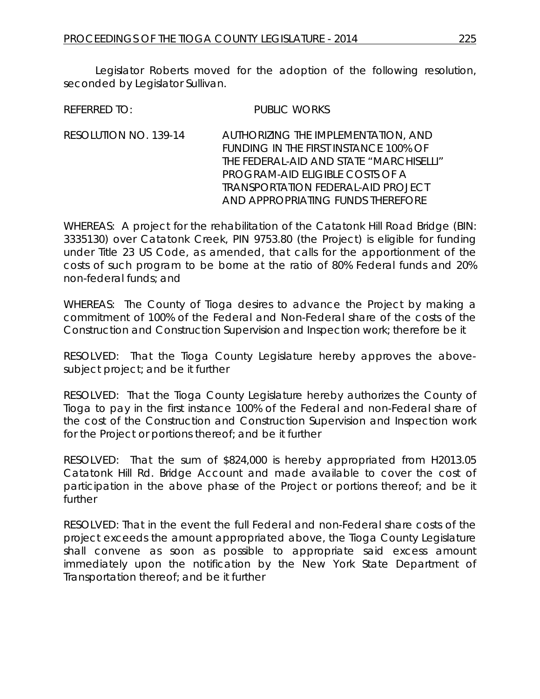Legislator Roberts moved for the adoption of the following resolution, seconded by Legislator Sullivan.

REFERRED TO: PUBLIC WORKS

RESOLUTION NO. 139-14 *AUTHORIZING THE IMPLEMENTATION, AND FUNDING IN THE FIRST INSTANCE 100% OF THE FEDERAL-AID AND STATE "MARCHISELLI" PROGRAM-AID ELIGIBLE COSTS OF A TRANSPORTATION FEDERAL-AID PROJECT AND APPROPRIATING FUNDS THEREFORE*

WHEREAS: A project for the rehabilitation of the Catatonk Hill Road Bridge (BIN: 3335130) over Catatonk Creek, PIN 9753.80 (the Project) is eligible for funding under Title 23 US Code, as amended, that calls for the apportionment of the costs of such program to be borne at the ratio of 80% Federal funds and 20% non-federal funds; and

WHEREAS: The County of Tioga desires to advance the Project by making a commitment of 100% of the Federal and Non-Federal share of the costs of the Construction and Construction Supervision and Inspection work; therefore be it

RESOLVED: That the Tioga County Legislature hereby approves the abovesubject project; and be it further

RESOLVED: That the Tioga County Legislature hereby authorizes the County of Tioga to pay in the first instance 100% of the Federal and non-Federal share of the cost of the Construction and Construction Supervision and Inspection work for the Project or portions thereof; and be it further

RESOLVED: That the sum of \$824,000 is hereby appropriated from H2013.05 Catatonk Hill Rd. Bridge Account and made available to cover the cost of participation in the above phase of the Project or portions thereof; and be it further

RESOLVED: That in the event the full Federal and non-Federal share costs of the project exceeds the amount appropriated above, the Tioga County Legislature shall convene as soon as possible to appropriate said excess amount immediately upon the notification by the New York State Department of Transportation thereof; and be it further